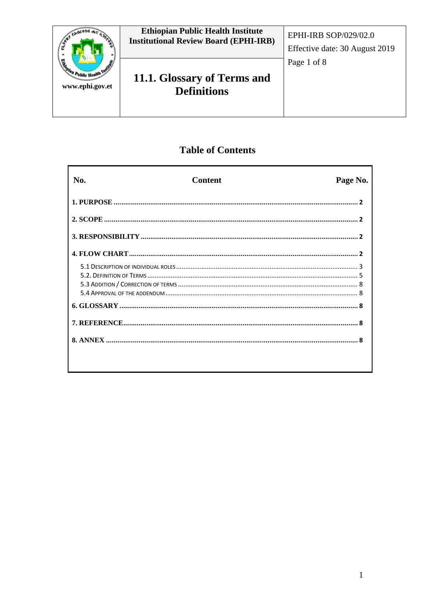

# **Table of Contents**

| No. | <b>Content</b> | Page No. |
|-----|----------------|----------|
|     |                |          |
|     |                |          |
|     |                |          |
|     |                |          |
|     |                |          |
|     |                |          |
|     |                |          |
|     |                |          |
|     |                |          |
|     |                |          |
|     |                |          |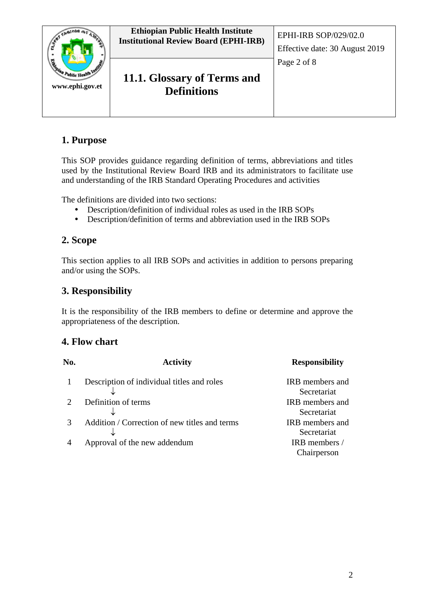

# **1. Purpose**

This SOP provides guidance regarding definition of terms, abbreviations and titles used by the Institutional Review Board IRB and its administrators to facilitate use and understanding of the IRB Standard Operating Procedures and activities

The definitions are divided into two sections:

- Description/definition of individual roles as used in the IRB SOPs
- Description/definition of terms and abbreviation used in the IRB SOPs

# **2. Scope**

This section applies to all IRB SOPs and activities in addition to persons preparing and/or using the SOPs.

## **3. Responsibility**

It is the responsibility of the IRB members to define or determine and approve the appropriateness of the description.

# **4. Flow chart**

| No. | <b>Activity</b>                               | <b>Responsibility</b>  |
|-----|-----------------------------------------------|------------------------|
|     | Description of individual titles and roles    | <b>IRB</b> members and |
|     |                                               | Secretariat            |
|     | Definition of terms                           | IRB members and        |
|     |                                               | Secretariat            |
|     | Addition / Correction of new titles and terms | IRB members and        |
|     |                                               | Secretariat            |
|     | Approval of the new addendum                  | IRB members /          |
|     |                                               | Chairperson            |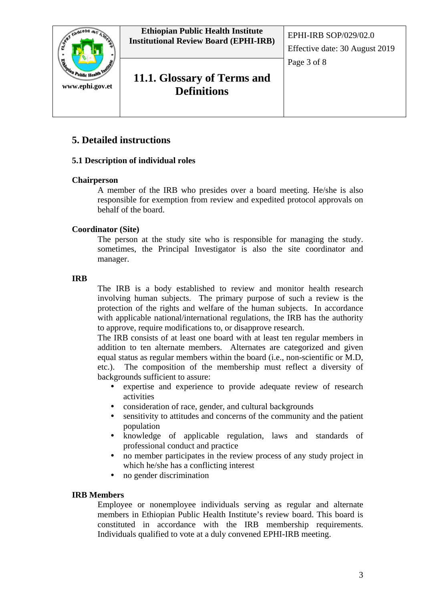

# **5. Detailed instructions**

## **5.1 Description of individual roles**

#### **Chairperson**

A member of the IRB who presides over a board meeting. He/she is also responsible for exemption from review and expedited protocol approvals on behalf of the board.

## **Coordinator (Site)**

The person at the study site who is responsible for managing the study. sometimes, the Principal Investigator is also the site coordinator and manager.

#### **IRB**

The IRB is a body established to review and monitor health research involving human subjects. The primary purpose of such a review is the protection of the rights and welfare of the human subjects. In accordance with applicable national/international regulations, the IRB has the authority to approve, require modifications to, or disapprove research.

The IRB consists of at least one board with at least ten regular members in addition to ten alternate members. Alternates are categorized and given equal status as regular members within the board (i.e., non-scientific or M.D, etc.). The composition of the membership must reflect a diversity of backgrounds sufficient to assure:

- expertise and experience to provide adequate review of research activities
- consideration of race, gender, and cultural backgrounds
- sensitivity to attitudes and concerns of the community and the patient population
- knowledge of applicable regulation, laws and standards of professional conduct and practice
- no member participates in the review process of any study project in which he/she has a conflicting interest
- no gender discrimination

#### **IRB Members**

Employee or nonemployee individuals serving as regular and alternate members in Ethiopian Public Health Institute's review board. This board is constituted in accordance with the IRB membership requirements. Individuals qualified to vote at a duly convened EPHI-IRB meeting.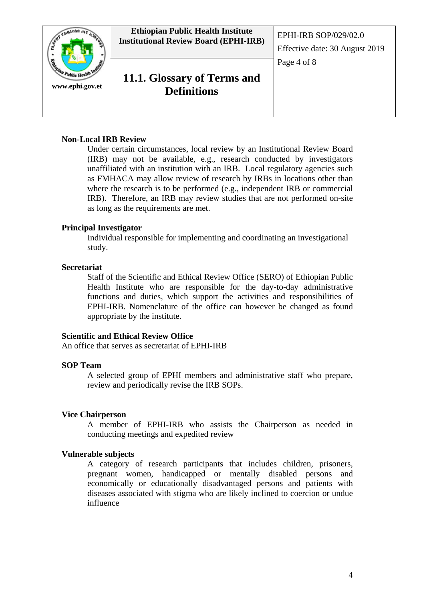

# **11.1. Glossary of Terms and Definitions**

## **Non-Local IRB Review**

Under certain circumstances, local review by an Institutional Review Board (IRB) may not be available, e.g., research conducted by investigators unaffiliated with an institution with an IRB. Local regulatory agencies such as FMHACA may allow review of research by IRBs in locations other than where the research is to be performed (e.g., independent IRB or commercial IRB). Therefore, an IRB may review studies that are not performed on-site as long as the requirements are met.

## **Principal Investigator**

Individual responsible for implementing and coordinating an investigational study.

#### **Secretariat**

Staff of the Scientific and Ethical Review Office (SERO) of Ethiopian Public Health Institute who are responsible for the day-to-day administrative functions and duties, which support the activities and responsibilities of EPHI-IRB. Nomenclature of the office can however be changed as found appropriate by the institute.

#### **Scientific and Ethical Review Office**

An office that serves as secretariat of EPHI-IRB

#### **SOP Team**

A selected group of EPHI members and administrative staff who prepare, review and periodically revise the IRB SOPs.

#### **Vice Chairperson**

A member of EPHI-IRB who assists the Chairperson as needed in conducting meetings and expedited review

#### **Vulnerable subjects**

A category of research participants that includes children, prisoners, pregnant women, handicapped or mentally disabled persons and economically or educationally disadvantaged persons and patients with diseases associated with stigma who are likely inclined to coercion or undue influence

Effective date: 30 August 2019

Page 4 of 8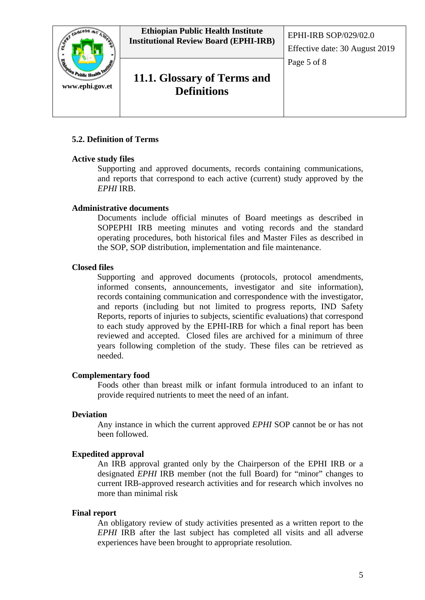

# **11.1. Glossary of Terms and Definitions**

## **5.2. Definition of Terms**

## **Active study files**

Supporting and approved documents, records containing communications, and reports that correspond to each active (current) study approved by the *EPHI* IRB.

## **Administrative documents**

Documents include official minutes of Board meetings as described in SOPEPHI IRB meeting minutes and voting records and the standard operating procedures, both historical files and Master Files as described in the SOP, SOP distribution, implementation and file maintenance.

## **Closed files**

Supporting and approved documents (protocols, protocol amendments, informed consents, announcements, investigator and site information), records containing communication and correspondence with the investigator, and reports (including but not limited to progress reports, IND Safety Reports, reports of injuries to subjects, scientific evaluations) that correspond to each study approved by the EPHI-IRB for which a final report has been reviewed and accepted. Closed files are archived for a minimum of three years following completion of the study. These files can be retrieved as needed.

## **Complementary food**

Foods other than breast milk or infant formula introduced to an infant to provide required nutrients to meet the need of an infant.

## **Deviation**

Any instance in which the current approved *EPHI* SOP cannot be or has not been followed.

## **Expedited approval**

An IRB approval granted only by the Chairperson of the EPHI IRB or a designated *EPHI* IRB member (not the full Board) for "minor" changes to current IRB-approved research activities and for research which involves no more than minimal risk

#### **Final report**

An obligatory review of study activities presented as a written report to the *EPHI* IRB after the last subject has completed all visits and all adverse experiences have been brought to appropriate resolution.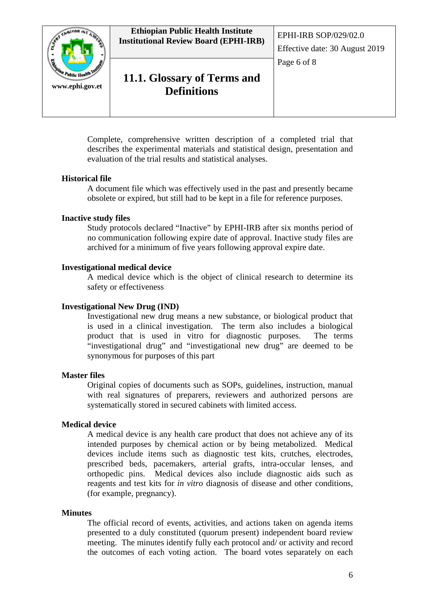

# **11.1. Glossary of Terms and Definitions**

Effective date: 30 August 2019 Page 6 of 8

Complete, comprehensive written description of a completed trial that describes the experimental materials and statistical design, presentation and evaluation of the trial results and statistical analyses.

## **Historical file**

A document file which was effectively used in the past and presently became obsolete or expired, but still had to be kept in a file for reference purposes.

## **Inactive study files**

Study protocols declared "Inactive" by EPHI-IRB after six months period of no communication following expire date of approval. Inactive study files are archived for a minimum of five years following approval expire date.

## **Investigational medical device**

A medical device which is the object of clinical research to determine its safety or effectiveness

## **Investigational New Drug (IND)**

Investigational new drug means a new substance, or biological product that is used in a clinical investigation. The term also includes a biological product that is used in vitro for diagnostic purposes. The terms "investigational drug" and "investigational new drug" are deemed to be synonymous for purposes of this part

## **Master files**

Original copies of documents such as SOPs, guidelines, instruction, manual with real signatures of preparers, reviewers and authorized persons are systematically stored in secured cabinets with limited access.

## **Medical device**

A medical device is any health care product that does not achieve any of its intended purposes by chemical action or by being metabolized. Medical devices include items such as diagnostic test kits, crutches, electrodes, prescribed beds, pacemakers, arterial grafts, intra-occular lenses, and orthopedic pins. Medical devices also include diagnostic aids such as reagents and test kits for *in vitro* diagnosis of disease and other conditions, (for example, pregnancy).

## **Minutes**

The official record of events, activities, and actions taken on agenda items presented to a duly constituted (quorum present) independent board review meeting. The minutes identify fully each protocol and/ or activity and record the outcomes of each voting action. The board votes separately on each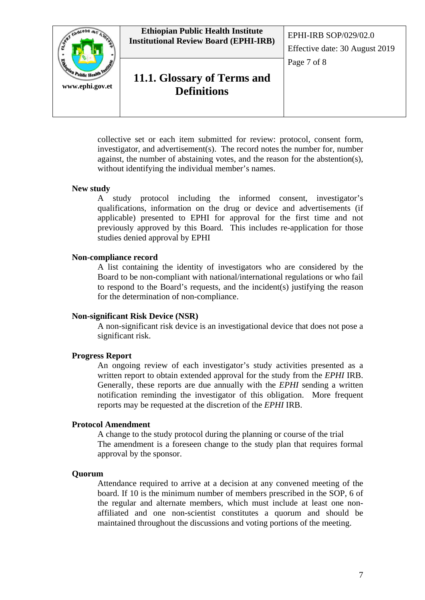

collective set or each item submitted for review: protocol, consent form, investigator, and advertisement(s). The record notes the number for, number against, the number of abstaining votes, and the reason for the abstention(s), without identifying the individual member's names.

#### **New study**

A study protocol including the informed consent, investigator's qualifications, information on the drug or device and advertisements (if applicable) presented to EPHI for approval for the first time and not previously approved by this Board. This includes re-application for those studies denied approval by EPHI

#### **Non-compliance record**

A list containing the identity of investigators who are considered by the Board to be non-compliant with national/international regulations or who fail to respond to the Board's requests, and the incident(s) justifying the reason for the determination of non-compliance.

#### **Non-significant Risk Device (NSR)**

A non-significant risk device is an investigational device that does not pose a significant risk.

#### **Progress Report**

An ongoing review of each investigator's study activities presented as a written report to obtain extended approval for the study from the *EPHI* IRB. Generally, these reports are due annually with the *EPHI* sending a written notification reminding the investigator of this obligation. More frequent reports may be requested at the discretion of the *EPHI* IRB.

#### **Protocol Amendment**

A change to the study protocol during the planning or course of the trial The amendment is a foreseen change to the study plan that requires formal approval by the sponsor.

#### **Quorum**

Attendance required to arrive at a decision at any convened meeting of the board. If 10 is the minimum number of members prescribed in the SOP, 6 of the regular and alternate members, which must include at least one nonaffiliated and one non-scientist constitutes a quorum and should be maintained throughout the discussions and voting portions of the meeting.